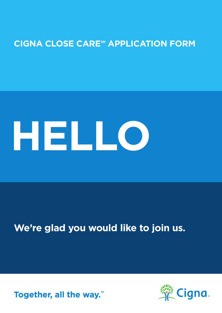# **CIGNA CLOSE CARE<sup>SM</sup> APPLICATION FORM**

# **HELLO**

# **We're glad you would like to join us.**



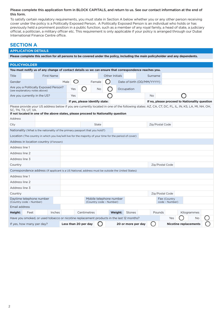#### Please complete this application form in BLOCK CAPITALS, and return to us. See our contact information at the end of this form.

To satisfy certain regulatory requirements, you must state in Section A below whether you or any other person receiving cover under the policy is a Politically Exposed Person. A Politically Exposed Person is an individual who holds or has previously held a prominent position in a public function, such as a member of any royal family, a head of state, a judiciary official, a politician, a military officer etc. This requirement is only applicable if your policy is arranged through our Dubai International Finance Centre office.

## **SECTION A**

#### **APPLICATION DETAILS**

**Please complete this section for all persons to be covered under the policy, including the main policyholder and any dependents.**

| <b>POLICYHOLDER</b>                                                                                                                                                                                                                                           |  |                   |      |                |                                |           |                              |                                                    |  |                            |  |                 |                                |     |                                               |  |
|---------------------------------------------------------------------------------------------------------------------------------------------------------------------------------------------------------------------------------------------------------------|--|-------------------|------|----------------|--------------------------------|-----------|------------------------------|----------------------------------------------------|--|----------------------------|--|-----------------|--------------------------------|-----|-----------------------------------------------|--|
| You must notify us of any change of contact details so we can ensure that correspondence reaches you.                                                                                                                                                         |  |                   |      |                |                                |           |                              |                                                    |  |                            |  |                 |                                |     |                                               |  |
| Title                                                                                                                                                                                                                                                         |  | <b>First Name</b> |      | Other Initials |                                |           | Surname                      |                                                    |  |                            |  |                 |                                |     |                                               |  |
| Gender                                                                                                                                                                                                                                                        |  |                   | Male |                |                                | Female    |                              |                                                    |  | Date of birth (DD/MM/YYYY) |  |                 |                                |     |                                               |  |
| Are you a Politically Exposed Person?<br>(see explanatory notes above)                                                                                                                                                                                        |  |                   |      | Yes            |                                | <b>No</b> |                              |                                                    |  | Occupation                 |  |                 |                                |     |                                               |  |
| Are you currently in the US?                                                                                                                                                                                                                                  |  |                   |      | Yes            |                                |           |                              |                                                    |  |                            |  | No              |                                |     |                                               |  |
|                                                                                                                                                                                                                                                               |  |                   |      |                | If yes, please identify state: |           |                              |                                                    |  |                            |  |                 |                                |     | If no, please proceed to Nationality question |  |
| Please provide your US address below if you are currently located in one of the following states: AZ, CA, CT, DC, FL, IL, IN, KS, LA, MI, NH, OH,<br>SC, TN, TX, UT, VA.<br>If not located in one of the above states, please proceed to Nationality question |  |                   |      |                |                                |           |                              |                                                    |  |                            |  |                 |                                |     |                                               |  |
| Address                                                                                                                                                                                                                                                       |  |                   |      |                |                                |           |                              |                                                    |  |                            |  |                 |                                |     |                                               |  |
| City                                                                                                                                                                                                                                                          |  |                   |      |                |                                | State     |                              |                                                    |  |                            |  | Zip/Postal Code |                                |     |                                               |  |
| Nationality (What is the nationality of the primary passport that you hold?)                                                                                                                                                                                  |  |                   |      |                |                                |           |                              |                                                    |  |                            |  |                 |                                |     |                                               |  |
| Location (The country in which you live/will live for the majority of your time for the period of cover)                                                                                                                                                      |  |                   |      |                |                                |           |                              |                                                    |  |                            |  |                 |                                |     |                                               |  |
| Address in location country (if known)                                                                                                                                                                                                                        |  |                   |      |                |                                |           |                              |                                                    |  |                            |  |                 |                                |     |                                               |  |
| Address line 1                                                                                                                                                                                                                                                |  |                   |      |                |                                |           |                              |                                                    |  |                            |  |                 |                                |     |                                               |  |
| Address line 2                                                                                                                                                                                                                                                |  |                   |      |                |                                |           |                              |                                                    |  |                            |  |                 |                                |     |                                               |  |
| Address line 3                                                                                                                                                                                                                                                |  |                   |      |                |                                |           |                              |                                                    |  |                            |  |                 |                                |     |                                               |  |
| Country                                                                                                                                                                                                                                                       |  |                   |      |                |                                |           |                              |                                                    |  |                            |  |                 | Zip/Postal Code                |     |                                               |  |
| Correspondence address (If applicant is a US National, address must be outside the United States)                                                                                                                                                             |  |                   |      |                |                                |           |                              |                                                    |  |                            |  |                 |                                |     |                                               |  |
| Address line 1                                                                                                                                                                                                                                                |  |                   |      |                |                                |           |                              |                                                    |  |                            |  |                 |                                |     |                                               |  |
| Address line 2                                                                                                                                                                                                                                                |  |                   |      |                |                                |           |                              |                                                    |  |                            |  |                 |                                |     |                                               |  |
| Address line 3                                                                                                                                                                                                                                                |  |                   |      |                |                                |           |                              |                                                    |  |                            |  |                 |                                |     |                                               |  |
| Country                                                                                                                                                                                                                                                       |  |                   |      |                |                                |           |                              |                                                    |  |                            |  |                 | Zip/Postal Code                |     |                                               |  |
| Daytime telephone number<br>(Country code - Number)                                                                                                                                                                                                           |  |                   |      |                |                                |           |                              | Mobile telephone number<br>(Country code - Number) |  |                            |  |                 | Fax (Country<br>code - Number) |     |                                               |  |
| Email address                                                                                                                                                                                                                                                 |  |                   |      |                |                                |           |                              |                                                    |  |                            |  |                 |                                |     |                                               |  |
| Height:<br>Feet                                                                                                                                                                                                                                               |  | Inches            |      |                | Centimetres                    |           |                              | Weight:                                            |  | Stones                     |  | Pounds          |                                |     | Kilogrammes                                   |  |
| Have you smoked, or used tobacco or nicotine replacement products in the last 12 months?                                                                                                                                                                      |  |                   |      |                |                                |           |                              |                                                    |  |                            |  |                 |                                | Yes | No                                            |  |
| Less than 20 per day<br>20 or more per day<br>If yes, how many per day?                                                                                                                                                                                       |  |                   |      |                |                                |           | <b>Nicotine replacements</b> |                                                    |  |                            |  |                 |                                |     |                                               |  |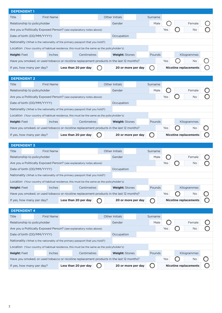| <b>DEPENDENT1</b>                                                            |                   |                                                                                            |  |                                                                                          |         |     |                              |  |
|------------------------------------------------------------------------------|-------------------|--------------------------------------------------------------------------------------------|--|------------------------------------------------------------------------------------------|---------|-----|------------------------------|--|
| Title                                                                        | <b>First Name</b> |                                                                                            |  | Other Initials                                                                           | Surname |     |                              |  |
| Relationship to policyholder                                                 |                   |                                                                                            |  | Gender                                                                                   | Male    |     | Female                       |  |
|                                                                              |                   | Are you a Politically Exposed Person? (see explanatory notes above)                        |  |                                                                                          |         | Yes | No                           |  |
| Date of birth (DD/MM/YYYY)                                                   |                   |                                                                                            |  | Occupation                                                                               |         |     |                              |  |
| Nationality (What is the nationality of the primary passport that you hold?) |                   |                                                                                            |  |                                                                                          |         |     |                              |  |
|                                                                              |                   | Location (Your country of habitual residence, this must be the same as the policyholder's) |  |                                                                                          |         |     |                              |  |
| <b>Height: Feet</b>                                                          | <b>Inches</b>     | Centimetres                                                                                |  | <b>Weight: Stones</b>                                                                    | Pounds  |     | Kilogrammes                  |  |
|                                                                              |                   |                                                                                            |  | Have you smoked, or used tobacco or nicotine replacement products in the last 12 months? |         | Yes | No                           |  |
| If yes, how many per day?                                                    |                   | Less than 20 per day                                                                       |  | 20 or more per day                                                                       |         |     | <b>Nicotine replacements</b> |  |
|                                                                              |                   |                                                                                            |  |                                                                                          |         |     |                              |  |
| <b>DEPENDENT 2</b>                                                           |                   |                                                                                            |  |                                                                                          |         |     |                              |  |
| Title                                                                        | <b>First Name</b> |                                                                                            |  | Other Initials                                                                           | Surname |     |                              |  |
| Relationship to policyholder                                                 |                   |                                                                                            |  | Gender                                                                                   | Male    |     | Female                       |  |
|                                                                              |                   | Are you a Politically Exposed Person? (see explanatory notes above)                        |  |                                                                                          |         | Yes | <b>No</b>                    |  |
| Date of birth (DD/MM/YYYY)                                                   |                   |                                                                                            |  | Occupation                                                                               |         |     |                              |  |
|                                                                              |                   | Nationality (What is the nationality of the primary passport that you hold?)               |  |                                                                                          |         |     |                              |  |
|                                                                              |                   | Location (Your country of habitual residence, this must be the same as the policyholder's) |  |                                                                                          |         |     |                              |  |
| <b>Height: Feet</b>                                                          | <b>Inches</b>     | Centimetres                                                                                |  | <b>Weight: Stones</b>                                                                    | Pounds  |     | Kilogrammes                  |  |
|                                                                              |                   |                                                                                            |  | Have you smoked, or used tobacco or nicotine replacement products in the last 12 months? |         | Yes | No                           |  |
| If yes, how many per day?                                                    |                   | Less than 20 per day                                                                       |  | 20 or more per day                                                                       |         |     | <b>Nicotine replacements</b> |  |
|                                                                              |                   |                                                                                            |  |                                                                                          |         |     |                              |  |
|                                                                              |                   |                                                                                            |  |                                                                                          |         |     |                              |  |
| <b>DEPENDENT 3</b>                                                           |                   |                                                                                            |  |                                                                                          |         |     |                              |  |
| Title                                                                        | <b>First Name</b> |                                                                                            |  | Other Initials                                                                           | Surname |     |                              |  |
| Relationship to policyholder                                                 |                   |                                                                                            |  | Gender                                                                                   | Male    |     | Female                       |  |
|                                                                              |                   | Are you a Politically Exposed Person? (see explanatory notes above)                        |  |                                                                                          |         | Yes | No                           |  |
| Date of birth (DD/MM/YYYY)                                                   |                   |                                                                                            |  | Occupation                                                                               |         |     |                              |  |
|                                                                              |                   | Nationality (What is the nationality of the primary passport that you hold?)               |  |                                                                                          |         |     |                              |  |
|                                                                              |                   | Location (Your country of habitual residence, this must be the same as the policyholder's) |  |                                                                                          |         |     |                              |  |
| <b>Height: Feet</b>                                                          | <b>Inches</b>     | Centimetres                                                                                |  | Weight: Stones                                                                           | Pounds  |     | Kilogrammes                  |  |
|                                                                              |                   |                                                                                            |  | Have you smoked, or used tobacco or nicotine replacement products in the last 12 months? |         | Yes | No                           |  |
| If yes, how many per day?                                                    |                   | Less than 20 per day                                                                       |  | 20 or more per day                                                                       |         |     | <b>Nicotine replacements</b> |  |
|                                                                              |                   |                                                                                            |  |                                                                                          |         |     |                              |  |
| <b>DEPENDENT 4</b><br>Title                                                  | <b>First Name</b> |                                                                                            |  | Other Initials                                                                           | Surname |     |                              |  |
| Relationship to policyholder                                                 |                   |                                                                                            |  | Gender                                                                                   | Male    |     | Female                       |  |
|                                                                              |                   | Are you a Politically Exposed Person? (see explanatory notes above)                        |  |                                                                                          |         | Yes | No                           |  |
| Date of birth (DD/MM/YYYY)                                                   |                   |                                                                                            |  | Occupation                                                                               |         |     |                              |  |
|                                                                              |                   | Nationality (What is the nationality of the primary passport that you hold?)               |  |                                                                                          |         |     |                              |  |
|                                                                              |                   | Location (Your country of habitual residence, this must be the same as the policyholder's) |  |                                                                                          |         |     |                              |  |
| <b>Height: Feet</b>                                                          | <b>Inches</b>     | Centimetres                                                                                |  | <b>Weight: Stones</b>                                                                    | Pounds  |     | Kilogrammes                  |  |
|                                                                              |                   |                                                                                            |  | Have you smoked, or used tobacco or nicotine replacement products in the last 12 months? |         | Yes | No                           |  |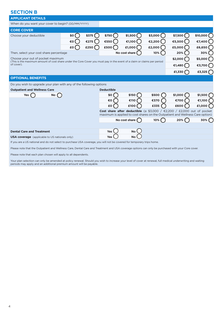# **SECTION B**

| <b>APPLICANT DETAILS</b>                                                                                                                                      |     |       |                   |                 |                                                                                                                                                         |         |                         |
|---------------------------------------------------------------------------------------------------------------------------------------------------------------|-----|-------|-------------------|-----------------|---------------------------------------------------------------------------------------------------------------------------------------------------------|---------|-------------------------|
| When do you want your cover to begin? (DD/MM/YYYY)                                                                                                            |     |       |                   |                 |                                                                                                                                                         |         |                         |
| <b>CORE COVER</b>                                                                                                                                             |     |       |                   |                 |                                                                                                                                                         |         |                         |
| Choose your deductible                                                                                                                                        | \$0 | \$375 | \$750             | $$1,500$ (      | $$3,000$ ()                                                                                                                                             | \$7,500 | \$10,000 $\binom{2}{1}$ |
|                                                                                                                                                               | €0  | €275  | €550              | €1,100          | €2,200                                                                                                                                                  | €5,500  | €7,400 (                |
|                                                                                                                                                               | £0  | £250  | £500              | £1,000          | £2,000                                                                                                                                                  | £5,000  | £6,650                  |
| Then, select your cost share percentage                                                                                                                       |     |       |                   | No cost share   | 10%                                                                                                                                                     | 20%     | 30%                     |
| Choose your out of pocket maximum<br>(This is the maximum amount of cost share under the Core Cover you must pay in the event of a claim or claims per period |     |       |                   |                 |                                                                                                                                                         | \$2,000 | $$5,000$ (              |
| of cover).                                                                                                                                                    |     |       |                   |                 |                                                                                                                                                         | €1,480  | €3,700                  |
|                                                                                                                                                               |     |       |                   |                 |                                                                                                                                                         | £1,330  | £3,325 $($              |
| <b>OPTIONAL BENEFITS</b>                                                                                                                                      |     |       |                   |                 |                                                                                                                                                         |         |                         |
| Do you wish to upgrade your plan with any of the following options                                                                                            |     |       |                   |                 |                                                                                                                                                         |         |                         |
| <b>Outpatient and Wellness Care</b>                                                                                                                           |     |       | <b>Deductible</b> |                 |                                                                                                                                                         |         |                         |
| <b>Yes</b><br><b>No</b>                                                                                                                                       |     |       | \$0               | <b>\$150</b>    | \$500                                                                                                                                                   | \$1,000 | \$1,500                 |
|                                                                                                                                                               |     |       | €0                | €110            | €370                                                                                                                                                    | €700    | €1,100                  |
|                                                                                                                                                               |     |       | £0                | £100            | £335                                                                                                                                                    | £600    | £1,000                  |
|                                                                                                                                                               |     |       |                   |                 | Cost share after deductible (a \$3,000 / €2,200 / £2,000 out of pocket<br>maximum is applied to cost shares on the Outpatient and Wellness Care option) |         |                         |
|                                                                                                                                                               |     |       |                   | No cost share ( | 10%                                                                                                                                                     | 20%     | 30%                     |
|                                                                                                                                                               |     |       |                   |                 |                                                                                                                                                         |         |                         |
| <b>Dental Care and Treatment</b>                                                                                                                              |     |       | <b>Yes</b>        | No l            |                                                                                                                                                         |         |                         |
| <b>USA coverage</b> (applicable to US nationals only)                                                                                                         |     |       | <b>Yes</b>        | <b>No</b>       |                                                                                                                                                         |         |                         |
| If you are a US national and do not select to purchase USA coverage, you will not be covered for temporary trips home.                                        |     |       |                   |                 |                                                                                                                                                         |         |                         |
| Please note that the Outpatient and Wellness Care, Dental Care and Treatment and USA coverage options can only be purchased with your Core cover.             |     |       |                   |                 |                                                                                                                                                         |         |                         |

Please note that each plan chosen will apply to all dependents.

Your plan selection can only be amended at policy renewal. Should you wish to increase your level of cover at renewal, full medical underwriting and waiting periods may apply and an additional premium amount will be payable.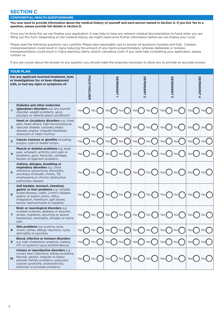# **SECTION C**

#### **CONFIDENTIAL HEALTH QUESTIONNAIRE**

**You now need to provide information about the medical history of yourself and each person named in Section A. If you tick Yes to a question, please provide full details in Section D.** 

Once you've done this we can finalise your application. It may help to have any relevant medical documentation to hand when you are filling out this form. Depending on the medical history, we might need some further information before we can finalise your cover.

Please read the following questions very carefully. Please take reasonable care to answer all questions honestly and fully. Careless misrepresentation could result in Cigna reducing the amount of any claims proportionately; whereas deliberate or reckless misrepresentation could result in Cigna rejecting claims, and/or cancelling cover. If you need help completing your application, please contact us.

If you are unsure about the answer to any question you should make the enquiries necessary to allow you to provide an accurate answer.

|                         | <b>YOUR PLAN</b>                                                                                                                                                                                                                                 |              |                 |       |                                                                                   |                  |               |                                        |                 |             |             |
|-------------------------|--------------------------------------------------------------------------------------------------------------------------------------------------------------------------------------------------------------------------------------------------|--------------|-----------------|-------|-----------------------------------------------------------------------------------|------------------|---------------|----------------------------------------|-----------------|-------------|-------------|
|                         | Has any applicant received treatment, tests<br>or investigations for, or been diagnosed<br>with, or had any signs or symptoms of:                                                                                                                | POLICYHOLDER |                 |       | <b>DEPENDENT</b>                                                                  | DEPENDENT<br>N   |               | DEPENDENT<br>$\overline{\mathbf{v}}$   |                 | DEPENDENT 4 |             |
| 1                       | <b>Diabetes and other endocrine</b><br>(glandular) disorders e.g. any thyroid<br>disorder, weight problems, gout,<br>pituitary or adrenal gland conditions?                                                                                      | Yes          | No (            | Yes ( | No                                                                                | Yes (            | No (          | Yes(                                   | No(             | Yes         | No <b>(</b> |
| $\overline{2}$          | Heart or circulatory disorders e.g. chest<br>pain, heart attack, high blood pressure,<br>vascular disease, coronary artery<br>disease, angina, irregular heartbeat,<br>aneurysm or heart murmur.                                                 |              | No (            | Yes ( | No                                                                                | Yes(             | No(           | Yes(                                   | N <sub>O</sub>  | Yes         | No(         |
| 3                       | <b>Cancer, tumours or growths including</b><br>polyps, cysts or breast lumps.                                                                                                                                                                    | Yes          | No <sub>1</sub> | Yes I | No (                                                                              | Yes(             | No (          | Yes(                                   | No(             | Yes(        | No(         |
| $\overline{\mathbf{4}}$ | <b>Muscle or skeletal problems</b> e.g. back<br>pain, whiplash, arthritis, joint pain or<br>problems, gout, fractures, cartilage,<br>tendon or ligament problems.                                                                                |              | No              | Yes   | No (                                                                              | Yes (            | No(           | Yes                                    | No(             | Yes         | No          |
| 5                       | Asthma, allergies, breathing or<br>respiratory disorders e.g. chest<br>infections, pneumonia, bronchitis,<br>shortness of breath, rhinitis, TB,<br>emphysema or chronic obstructive<br>pulmonary disease.                                        |              | No <sub>0</sub> | Yes(  | No                                                                                | Yes(             | ) No (        | Yes $\left( \quad \right)$ No $\left($ |                 | Yes(        | No(         |
| 6                       | Gall bladder, stomach, intestinal,<br>gastric or liver problems e.g. irritable<br>bowel disease, colitis, Crohn's disease,<br>gastric or peptic ulcers, reflux,<br>indigestion, heartburn, gall stones,<br>hernia, haemorrhoids or hepatitis.    | Yes          | No (            | Yes(  | $No$ $($                                                                          | Yes(             | ) No <b>(</b> | Yes $\left( \quad \right)$ No $\left($ |                 | Yes(        | No (        |
| 7                       | Brain or neurological disorders e.g.<br>multiple sclerosis, epilepsy or seizures,<br>stroke, migraines, recurring or severe<br>headaches, meningitis, shingles or nerve<br>pain.                                                                 |              | No              | Yes   | No                                                                                | Yes <sup>(</sup> | No (          | Yes (                                  | No(             | Yes         | No (        |
| 8                       | Skin problems e.g. eczema, acne,<br>moles, rashes, allergic reactions, cysts,<br>dermatitis or psoriasis                                                                                                                                         | Yes          | <b>No</b>       | Yes   | No                                                                                | Yes <sup>(</sup> | No(           | Yes                                    | No <sub>1</sub> | Yes         | No(         |
| 9                       | Blood, infective or immune disorders<br>e.g. high cholesterol, anaemia, malaria,<br>HIV or systemic lupus erythematosus.                                                                                                                         | Yes          | No              | Yes ( | No(                                                                               | Yes(             | No(           | Yes(                                   | No(             | Yes         |             |
| 10 <sup>°</sup>         | Urinary or reproductive disorders e.g.<br>urinary tract infections, kidney problems,<br>fibroids, painful, irregular or heavy<br>periods, fertility problems, polycystic<br>ovarian syndrome, endometriosis,<br>testicular or prostate problems. | Yes(         | No              |       | Yes $\left(\begin{array}{c}\right)$ No $\left(\begin{array}{c}\right)\end{array}$ |                  |               | $Yes() No()$ Yes $() No()$             |                 | Yes(        |             |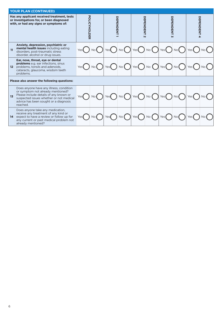| <b>YOUR PLAN (CONTINUED)</b>                                                                                                                                                                                                             |              |            |                                                 |                |                          |  |  |  |  |  |
|------------------------------------------------------------------------------------------------------------------------------------------------------------------------------------------------------------------------------------------|--------------|------------|-------------------------------------------------|----------------|--------------------------|--|--|--|--|--|
| Has any applicant received treatment, tests<br>or investigations for, or been diagnosed<br>with, or had any signs or symptoms of:                                                                                                        | POLICYHOLDER | DEPENDENT  | DEPERDENT                                       | DEPENDENT      | <b>DEPENDENT 4</b>       |  |  |  |  |  |
| Anxiety, depression, psychiatric or<br>mental health issues including eating<br>11<br>disorders, post-traumatic stress<br>disorder, alcohol or drug issues.                                                                              | No(          | No<br>Yes  | Yes(<br>No                                      | No(<br>) Yes ( | No(<br>Yes(              |  |  |  |  |  |
| Ear, nose, throat, eye or dental<br><b>problems</b> e.g. ear infections, sinus<br>problems, tonsils and adenoids,<br>12 <sup>2</sup><br>cataracts, glaucoma, wisdom teeth<br>problems.                                                   | No(          | No<br>Yes  | Yes<br>$No$ $($                                 | Yes(<br>No(    | No<br>Yes $($            |  |  |  |  |  |
| Please also answer the following questions:                                                                                                                                                                                              |              |            |                                                 |                |                          |  |  |  |  |  |
| Does anyone have any illness, condition<br>or symptom not already mentioned?<br>Please include details of any known or<br>1 <sub>3</sub><br>suspected issues whether or not medical<br>advice has been sought or a diagnosis<br>reached. | No(          | No<br>Yes( | $Yes \bigcap No \bigcap Yes \bigcap No \bigcap$ |                | Yes(<br>No(              |  |  |  |  |  |
| Does anyone take any medication,<br>receive any treatment of any kind or<br>expect to have a review or follow up for<br>14<br>any current or past medical problem not<br>already mentioned?                                              | No(<br>Yes   | No<br>Yes  | $No$ $\left($<br>Yes(                           | Yes(<br>No(    | Yes <sup>(</sup><br>No ( |  |  |  |  |  |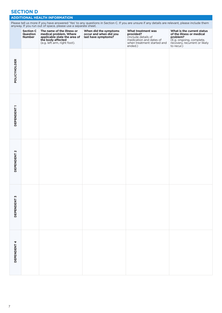## **SECTION D**

#### **ADDITIONAL HEALTH INFORMATION**

Please tell us more if you have answered 'Yes' to any questions in Section C. If you are unsure if any details are relevant, please include them anyway. If you run out of space, please use a separate sheet. **Section C Question Number The name of the illness or medical problem. Where applicable state the area of the body affected**  (e.g. left arm, right foot). **When did the symptoms occur and when did you last have symptoms? What treatment was provided?**  (Include details of<br>medication and dates of medication and dates of when treatment started and ended.) **What is the current status of the illness or medical problem?**  (E.g. ongoing, complete, recovery, recurrent or likely to recur.)

|                        |  | ended.) | to recur.) |
|------------------------|--|---------|------------|
| POLICYHOLDER           |  |         |            |
| <b>DEPENDENT1</b>      |  |         |            |
| DEPENDENT <sub>2</sub> |  |         |            |
| DEPENDENT 3            |  |         |            |
| <b>DEPENDENT4</b>      |  |         |            |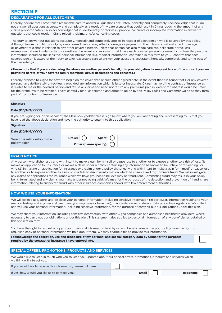## **SECTION E**

#### **DECLARATION FOR ALL CUSTOMERS**

I hereby declare that I have taken reasonable care to answer all questions accurately, honestly and completely. I acknowledge that if I do not answer all questions accurately and completely as a result of my carelessness that could result in Cigna reducing the amount of any claims proportionately. I also acknowledge that if I deliberately or recklessly provide inaccurate or incomplete information in answer to questions that could result in Cigna rejecting claims, and/or cancelling cover.

The duty to answer our questions accurately, honestly and completely applies in respect of each person who is covered by this policy. Although failure to fulfil this duty by one covered person may affect coverage or payment of their claims, it will not affect coverage or payment of claims in relation to any other covered person, unless that person has also made careless, deliberate or reckless misrepresentations in relation to our questions. I warrant and represent that I have each covered person's consent to disclose the personal information, including the sensitive personal information (e.g. medical information) contained in this form to you. I confirm that each covered person is aware of their duty to take reasonable care to answer your questions accurately, honestly, completely and to the best of their knowledge.

**(Please note that if you are declaring the above on another person's behalf, it is your obligation to keep evidence of the consent you are providing hereto of your covered family members' actual declarations and consents.)**

I hereby propose to Cigna for cover to begin on the cover date or such other agreed date. In the event that it is found that I, or any covered person, have deliberately or recklessly provided any information which is false or inaccurate, Cigna may void the contract of insurance as it relates to me or the covered person and refuse all claims and need not return any premiums paid in, except for where it would be unfair for the premiums to be retained. I have carefully read, understood and agree to abide by the Policy Rules and Customer Guide as they form part of my contract of insurance.

## **Signature**

**Date (DD/MM/YYYY)**

#### If you are signing for, or on behalf of, the Main policyholder please sign below where you are warranting and representing to us that you have read the above declaration and have the authority to enter into this application:

| <b>Signature</b>                |                        |  |
|---------------------------------|------------------------|--|
| Date (DD/MM/YYYY)               |                        |  |
| Select the relationship to main | Broker (<br>Agent      |  |
| policyholder                    | Other (please specify) |  |

#### **FRAUD NOTICE**

Any person who, dishonestly and with intent to make a gain for himself or cause loss to another, or to expose another to a risk of loss: (1) makes an application for insurance or makes a claim under a policy containing any information he knows to be untrue or misleading ; or who (2) in making an application for insurance or a claim under a policy dishonestly and with intent to make a gain for himself or cause loss to another, or to expose another to a risk of loss fails to disclose information which has been asked for, commits fraud. We will investigate any claims or applications for insurance which we have grounds to believe may be fraudulent. Committing fraud may result in your policy being terminated and any claims you make under not being paid. We may, for the purposes of the detection and prevention of fraud, share information relating to suspected fraud with other insurance companies and/or with law enforcement authorities.

#### **HOW WE USE YOUR INFORMATION**

We will collect, use, store, and disclose your personal information, including sensitive information (in particular, information relating to your medical history and any medical treatment you may have or have had), in accordance with relevant data protection legislation. We collect and will use your personal information, including sensitive information, for the purpose of carrying out our obligations under this plan.

We may share your information, including sensitive information, with other Cigna companies and authorised healthcare providers, where necessary to carry out our obligations under this plan. This statement also applies to personal information of any beneficiaries detailed on this application form.

You have the right to request a copy of your personal information held by us, and beneficiaries under your policy have the right to request a copy of personal information we hold about them. We may charge a fee to provide this information.

| I acknowledge the collection, use and disclosure of my personal and special category data by Cigna for the purposes |  |
|---------------------------------------------------------------------------------------------------------------------|--|
| required by the contract of insurance I have entered into.                                                          |  |

| SPECIAL OFFERS, PROMOTIONS, PRODUCTS AND SERVICES                                                                                                            |                           |  |  |  |  |  |  |
|--------------------------------------------------------------------------------------------------------------------------------------------------------------|---------------------------|--|--|--|--|--|--|
| We would like to keep in touch with you to keep you updated about our special offers, promotions, products and services which<br>we think will interest you. |                           |  |  |  |  |  |  |
| If you would like to receive this information, please tick here                                                                                              |                           |  |  |  |  |  |  |
| If yes, how would you like us to contact you?                                                                                                                | Email<br><b>Telephone</b> |  |  |  |  |  |  |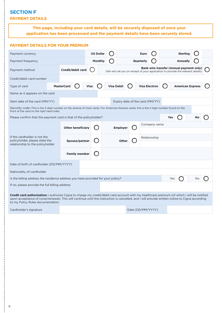# **SECTION F PAYMENT DETAILS**

**This page, including your card details, will be securely disposed of once your application has been processed and the payment details have been securely stored.**

| <b>PAYMENT DETAILS FOR YOUR PREMIUM</b>                                                                                                                                                                                                                                                                                            |                   |                          |                  |                   |                   |              |                                 |                      |  |                                                                                                                               |                         |    |  |
|------------------------------------------------------------------------------------------------------------------------------------------------------------------------------------------------------------------------------------------------------------------------------------------------------------------------------------|-------------------|--------------------------|------------------|-------------------|-------------------|--------------|---------------------------------|----------------------|--|-------------------------------------------------------------------------------------------------------------------------------|-------------------------|----|--|
| Payment currency                                                                                                                                                                                                                                                                                                                   |                   |                          | <b>US Dollar</b> |                   |                   |              |                                 | <b>Euro</b>          |  |                                                                                                                               | <b>Sterling</b>         |    |  |
| Payment frequency                                                                                                                                                                                                                                                                                                                  |                   |                          | <b>Monthly</b>   |                   |                   |              |                                 | <b>Quarterly</b>     |  |                                                                                                                               | <b>Annually</b>         |    |  |
| Credit/debit card<br>Payment method                                                                                                                                                                                                                                                                                                |                   |                          |                  |                   |                   |              |                                 |                      |  | Bank wire transfer (Annual payment only)<br>(We will call you on receipt of your application to provide the relevant details) |                         |    |  |
| Credit/debit card number                                                                                                                                                                                                                                                                                                           |                   |                          |                  |                   |                   |              |                                 |                      |  |                                                                                                                               |                         |    |  |
| Type of card                                                                                                                                                                                                                                                                                                                       | <b>MasterCard</b> |                          | <b>Visa</b>      |                   | <b>Visa Debit</b> |              |                                 | <b>Visa Electron</b> |  |                                                                                                                               | <b>American Express</b> |    |  |
| Name as it appears on the card                                                                                                                                                                                                                                                                                                     |                   |                          |                  |                   |                   |              |                                 |                      |  |                                                                                                                               |                         |    |  |
| Start date of the card (MM/YY)                                                                                                                                                                                                                                                                                                     |                   |                          |                  |                   |                   |              | Expiry date of the card (MM/YY) |                      |  |                                                                                                                               |                         |    |  |
| Security code (This is the 3 digit number on the reverse of most cards. For American Express cards, this is the 4 digit number found on the<br>front of the card on the right hand side)                                                                                                                                           |                   |                          |                  |                   |                   |              |                                 |                      |  |                                                                                                                               |                         |    |  |
| Please confirm that the payment card is that of the policyholder?                                                                                                                                                                                                                                                                  |                   |                          |                  |                   |                   |              |                                 |                      |  | Yes                                                                                                                           |                         |    |  |
|                                                                                                                                                                                                                                                                                                                                    |                   | <b>Other beneficiary</b> |                  |                   | <b>Employer</b>   |              |                                 | Company name         |  |                                                                                                                               |                         |    |  |
| If the cardholder is not the                                                                                                                                                                                                                                                                                                       |                   |                          |                  |                   |                   |              | Relationship                    |                      |  |                                                                                                                               |                         |    |  |
| policyholder, please state the<br>relationship to the policyholder                                                                                                                                                                                                                                                                 |                   | Spouse/partner           |                  |                   |                   | <b>Other</b> |                                 |                      |  |                                                                                                                               |                         |    |  |
|                                                                                                                                                                                                                                                                                                                                    |                   | <b>Family member</b>     |                  |                   |                   |              |                                 |                      |  |                                                                                                                               |                         |    |  |
| Date of birth of cardholder (DD/MM/YYYY)                                                                                                                                                                                                                                                                                           |                   |                          |                  |                   |                   |              |                                 |                      |  |                                                                                                                               |                         |    |  |
| Nationality of cardholder                                                                                                                                                                                                                                                                                                          |                   |                          |                  |                   |                   |              |                                 |                      |  |                                                                                                                               |                         |    |  |
| Is the billing address the residence address you have provided for your policy?                                                                                                                                                                                                                                                    |                   |                          |                  |                   |                   |              |                                 |                      |  | Yes                                                                                                                           |                         | No |  |
| If no, please provide the full billing address                                                                                                                                                                                                                                                                                     |                   |                          |                  |                   |                   |              |                                 |                      |  |                                                                                                                               |                         |    |  |
| Credit card authorisation: I authorise Cigna to charge my credit/debit card account with my healthcare premium (of which I will be notified<br>upon acceptance of cover/renewal). This will continue until the instruction is cancelled, and I will provide written notice to Cigna according<br>to my Policy Rules documentation. |                   |                          |                  |                   |                   |              |                                 |                      |  |                                                                                                                               |                         |    |  |
| Cardholder's signature                                                                                                                                                                                                                                                                                                             |                   |                          |                  | Date (DD/MM/YYYY) |                   |              |                                 |                      |  |                                                                                                                               |                         |    |  |